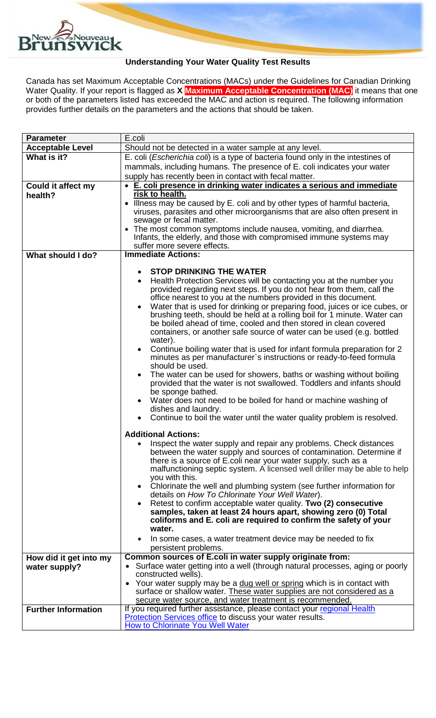

## **Understanding Your Water Quality Test Results**

Canada has set Maximum Acceptable Concentrations (MACs) under the Guidelines for Canadian Drinking Water Quality. If your report is flagged as **X Maximum Acceptable Concentration (MAC)** it means that one or both of the parameters listed has exceeded the MAC and action is required. The following information provides further details on the parameters and the actions that should be taken.

| <b>Parameter</b>           | E.coli                                                                                                                                       |  |  |
|----------------------------|----------------------------------------------------------------------------------------------------------------------------------------------|--|--|
| <b>Acceptable Level</b>    | Should not be detected in a water sample at any level.                                                                                       |  |  |
| What is it?                | E. coli (Escherichia coli) is a type of bacteria found only in the intestines of                                                             |  |  |
|                            | mammals, including humans. The presence of E. coli indicates your water                                                                      |  |  |
|                            | supply has recently been in contact with fecal matter.                                                                                       |  |  |
| <b>Could it affect my</b>  | • E. coli presence in drinking water indicates a serious and immediate                                                                       |  |  |
| health?                    | risk to health.                                                                                                                              |  |  |
|                            | • Illness may be caused by E. coli and by other types of harmful bacteria,                                                                   |  |  |
|                            | viruses, parasites and other microorganisms that are also often present in                                                                   |  |  |
|                            | sewage or fecal matter.<br>• The most common symptoms include nausea, vomiting, and diarrhea.                                                |  |  |
|                            | Infants, the elderly, and those with compromised immune systems may                                                                          |  |  |
|                            | suffer more severe effects.                                                                                                                  |  |  |
| What should I do?          | <b>Immediate Actions:</b>                                                                                                                    |  |  |
|                            |                                                                                                                                              |  |  |
|                            | <b>STOP DRINKING THE WATER</b>                                                                                                               |  |  |
|                            | Health Protection Services will be contacting you at the number you<br>$\bullet$                                                             |  |  |
|                            | provided regarding next steps. If you do not hear from them, call the                                                                        |  |  |
|                            | office nearest to you at the numbers provided in this document.                                                                              |  |  |
|                            | Water that is used for drinking or preparing food, juices or ice cubes, or<br>$\bullet$                                                      |  |  |
|                            | brushing teeth, should be held at a rolling boil for 1 minute. Water can<br>be boiled ahead of time, cooled and then stored in clean covered |  |  |
|                            | containers, or another safe source of water can be used (e.g. bottled                                                                        |  |  |
|                            | water).                                                                                                                                      |  |  |
|                            | Continue boiling water that is used for infant formula preparation for 2<br>$\bullet$                                                        |  |  |
|                            | minutes as per manufacturer's instructions or ready-to-feed formula                                                                          |  |  |
|                            | should be used.                                                                                                                              |  |  |
|                            | The water can be used for showers, baths or washing without boiling                                                                          |  |  |
|                            | provided that the water is not swallowed. Toddlers and infants should<br>be sponge bathed.                                                   |  |  |
|                            | Water does not need to be boiled for hand or machine washing of                                                                              |  |  |
|                            | dishes and laundry.                                                                                                                          |  |  |
|                            | Continue to boil the water until the water quality problem is resolved.                                                                      |  |  |
|                            |                                                                                                                                              |  |  |
|                            | <b>Additional Actions:</b>                                                                                                                   |  |  |
|                            | Inspect the water supply and repair any problems. Check distances                                                                            |  |  |
|                            | between the water supply and sources of contamination. Determine if<br>there is a source of E.coli near your water supply, such as a         |  |  |
|                            | malfunctioning septic system. A licensed well driller may be able to help                                                                    |  |  |
|                            | you with this.                                                                                                                               |  |  |
|                            | Chlorinate the well and plumbing system (see further information for<br>$\bullet$                                                            |  |  |
|                            | details on How To Chlorinate Your Well Water).                                                                                               |  |  |
|                            | Retest to confirm acceptable water quality. Two (2) consecutive                                                                              |  |  |
|                            | samples, taken at least 24 hours apart, showing zero (0) Total                                                                               |  |  |
|                            | coliforms and E. coli are required to confirm the safety of your<br>water.                                                                   |  |  |
|                            | In some cases, a water treatment device may be needed to fix                                                                                 |  |  |
|                            | persistent problems.                                                                                                                         |  |  |
| How did it get into my     | Common sources of E.coli in water supply originate from:                                                                                     |  |  |
| water supply?              | Surface water getting into a well (through natural processes, aging or poorly                                                                |  |  |
|                            | constructed wells).                                                                                                                          |  |  |
|                            | • Your water supply may be a dug well or spring which is in contact with                                                                     |  |  |
|                            | surface or shallow water. These water supplies are not considered as a                                                                       |  |  |
|                            | secure water source, and water treatment is recommended.                                                                                     |  |  |
| <b>Further Information</b> | If you required further assistance, please contact your regional Health<br>Protection Services office to discuss your water results.         |  |  |
|                            | <b>How to Chlorinate You Well Water</b>                                                                                                      |  |  |